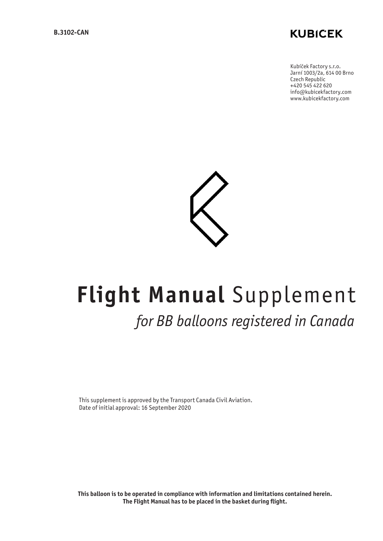**KUBICEK** 

Kubíček Factory s.r.o. Jarní 1003/2a, 614 00 Brno Czech Republic +420 545 422 620 info@kubicekfactory.com www.kubicekfactory.com



# **Flight Manual** Supplement  *for BB balloons registered in Canada*

This supplement is approved by the Transport Canada Civil Aviation. Date of initial approval: 16 September 2020

**This balloon is to be operated in compliance with information and limitations contained herein. The Flight Manual has to be placed in the basket during flight.**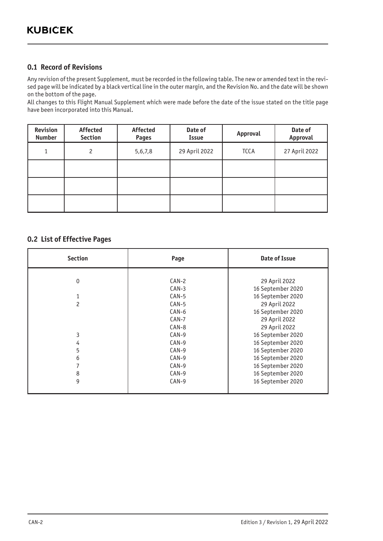### <span id="page-1-0"></span>**0.1 Record of Revisions**

Any revision of the present Supplement, must be recorded in the following table. The new or amended text in the revised page will be indicated by a black vertical line in the outer margin, and the Revision No. and the date will be shown on the bottom of the page.

All changes to this Flight Manual Supplement which were made before the date of the issue stated on the title page have been incorporated into this Manual.

| Revision<br><b>Number</b> | <b>Affected</b><br><b>Section</b> | <b>Affected</b><br>Pages | Date of<br><b>Issue</b> | Approval    | Date of<br>Approval |
|---------------------------|-----------------------------------|--------------------------|-------------------------|-------------|---------------------|
| 1                         | 2                                 | 5,6,7,8                  | 29 April 2022           | <b>TCCA</b> | 27 April 2022       |
|                           |                                   |                          |                         |             |                     |
|                           |                                   |                          |                         |             |                     |
|                           |                                   |                          |                         |             |                     |

### **0.2 List of Effective Pages**

| <b>Section</b> | Page    | Date of Issue     |  |  |  |  |  |
|----------------|---------|-------------------|--|--|--|--|--|
|                |         |                   |  |  |  |  |  |
| 0              | CAN-2   | 29 April 2022     |  |  |  |  |  |
|                | $CAN-3$ | 16 September 2020 |  |  |  |  |  |
|                | CAN-5   | 16 September 2020 |  |  |  |  |  |
| 2              | CAN-5   | 29 April 2022     |  |  |  |  |  |
|                | CAN-6   | 16 September 2020 |  |  |  |  |  |
|                | CAN-7   | 29 April 2022     |  |  |  |  |  |
|                | CAN-8   | 29 April 2022     |  |  |  |  |  |
| 3              | CAN-9   | 16 September 2020 |  |  |  |  |  |
| 4              | CAN-9   | 16 September 2020 |  |  |  |  |  |
| 5              | CAN-9   | 16 September 2020 |  |  |  |  |  |
| 6              | CAN-9   | 16 September 2020 |  |  |  |  |  |
|                | CAN-9   | 16 September 2020 |  |  |  |  |  |
| 8              | CAN-9   | 16 September 2020 |  |  |  |  |  |
| 9              | CAN-9   | 16 September 2020 |  |  |  |  |  |
|                |         |                   |  |  |  |  |  |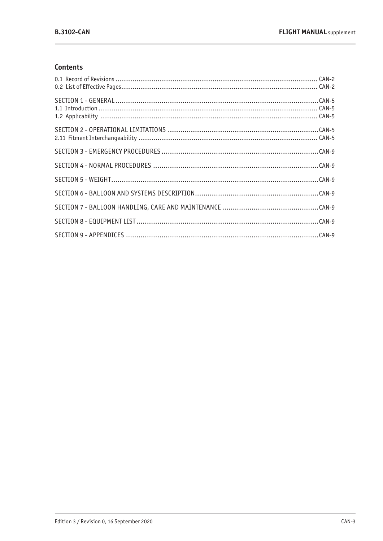## Contents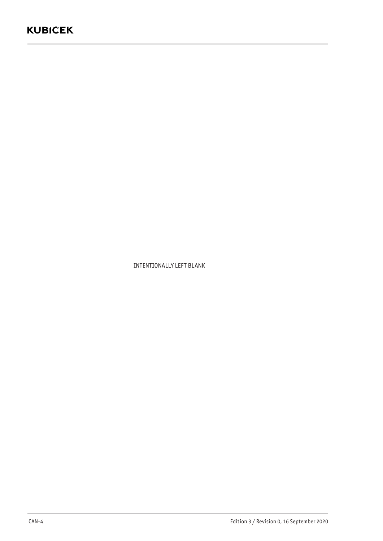INTENTIONALLY LEFT BLANK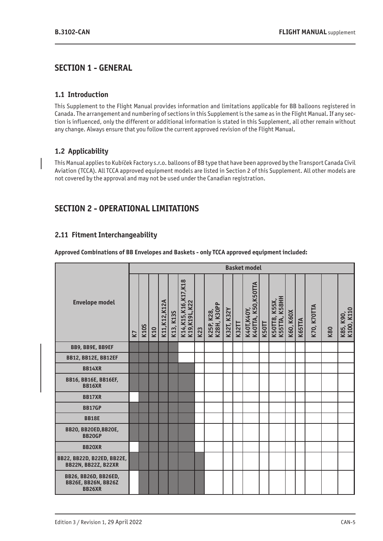# <span id="page-4-0"></span>**SECTION 1 - GENERAL**

### **1.1 Introduction**

This Supplement to the Flight Manual provides information and limitations applicable for BB balloons registered in Canada. The arrangement and numbering of sections in this Supplement is the same as in the Flight Manual. If any section is influenced, only the different or additional information is stated in this Supplement, all other remain without any change. Always ensure that you follow the current approved revision of the Flight Manual.

### **1.2 Applicability**

This Manual applies to Kubíček Factory s.r.o. balloons of BB type that have been approved by the Transport Canada Civil Aviation (TCCA). All TCCA approved equipment models are listed in Section 2 of this Supplement. All other models are not covered by the approval and may not be used under the Canadian registration.

# **SECTION 2 - OPERATIONAL LIMITATIONS**

### **2.11 Fitment Interchangeability**

#### **Approved Combinations of BB Envelopes and Baskets - only TCCA approved equipment included:**

| <b>Envelope model</b>                                               |  | <b>Basket model</b> |     |                |           |                                     |     |                           |            |       |                                  |              |                                          |           |        |             |            |                         |
|---------------------------------------------------------------------|--|---------------------|-----|----------------|-----------|-------------------------------------|-----|---------------------------|------------|-------|----------------------------------|--------------|------------------------------------------|-----------|--------|-------------|------------|-------------------------|
|                                                                     |  | K10S                | K10 | K11, K12, K12A | K13, K13S | K14,K15,K16,K17,K18<br>K19,K19L,K22 | K23 | K25P, K28,<br>K28H, K30PP | K32T, K32Y | K32TT | K40T,K40Y,<br>K40TTA, K50,K50TTA | <b>K50TT</b> | K55TTA, K58HH<br><b>K55X,</b><br>K50TT8, | K60, K60X | K65TTA | K70, K70TTA | <b>K80</b> | K100, K110<br>K85, K90, |
| BB9, BB9E, BB9EF                                                    |  |                     |     |                |           |                                     |     |                           |            |       |                                  |              |                                          |           |        |             |            |                         |
| <b>BB12, BB12E, BB12EF</b>                                          |  |                     |     |                |           |                                     |     |                           |            |       |                                  |              |                                          |           |        |             |            |                         |
| <b>BB14XR</b>                                                       |  |                     |     |                |           |                                     |     |                           |            |       |                                  |              |                                          |           |        |             |            |                         |
| <b>BB16, BB16E, BB16EF,</b><br><b>BB16XR</b>                        |  |                     |     |                |           |                                     |     |                           |            |       |                                  |              |                                          |           |        |             |            |                         |
| <b>BB17XR</b>                                                       |  |                     |     |                |           |                                     |     |                           |            |       |                                  |              |                                          |           |        |             |            |                         |
| <b>BB17GP</b>                                                       |  |                     |     |                |           |                                     |     |                           |            |       |                                  |              |                                          |           |        |             |            |                         |
| <b>BB18E</b>                                                        |  |                     |     |                |           |                                     |     |                           |            |       |                                  |              |                                          |           |        |             |            |                         |
| <b>BB20, BB20ED, BB20E,</b><br><b>BB20GP</b>                        |  |                     |     |                |           |                                     |     |                           |            |       |                                  |              |                                          |           |        |             |            |                         |
| <b>BB20XR</b>                                                       |  |                     |     |                |           |                                     |     |                           |            |       |                                  |              |                                          |           |        |             |            |                         |
| BB22, BB22D, B22ED, BB22E,<br><b>BB22N, BB22Z, B22XR</b>            |  |                     |     |                |           |                                     |     |                           |            |       |                                  |              |                                          |           |        |             |            |                         |
| BB26, BB26D, BB26ED,<br><b>BB26E, BB26N, BB26Z</b><br><b>BB26XR</b> |  |                     |     |                |           |                                     |     |                           |            |       |                                  |              |                                          |           |        |             |            |                         |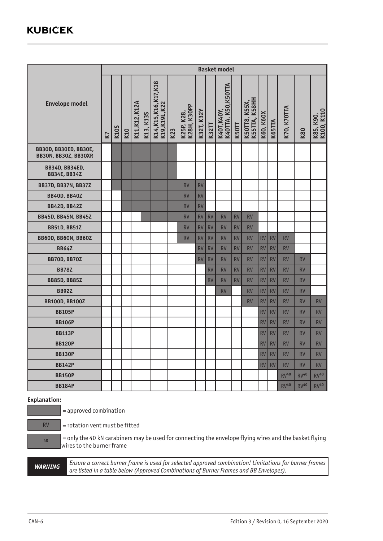| <b>Envelope model</b>                                |  | <b>Basket model</b> |     |                |           |                                           |     |                           |            |           |                                    |              |                                |           |           |                  |                  |                         |
|------------------------------------------------------|--|---------------------|-----|----------------|-----------|-------------------------------------------|-----|---------------------------|------------|-----------|------------------------------------|--------------|--------------------------------|-----------|-----------|------------------|------------------|-------------------------|
|                                                      |  | K10S                | K10 | K11, K12, K12A | K13, K13S | K14, K15, K16, K17, K18<br>K19, K19L, K22 | K23 | K25P, K28,<br>K28H, K30PP | K32T, K32Y | K32TT     | K40TTA, K50, K50TTA<br>K40T, K40Y, | <b>K50TT</b> | K55TTA, K58HH<br>K50TT8, K55X, | K60, K60X | K65TTA    | K70, K70TTA      | <b>K80</b>       | K85, K90,<br>K100, K110 |
| <b>BB30D, BB30ED, BB30E,</b><br>BB30N, BB30Z, BB30XR |  |                     |     |                |           |                                           |     |                           |            |           |                                    |              |                                |           |           |                  |                  |                         |
| <b>BB34D, BB34ED,</b><br><b>BB34E, BB34Z</b>         |  |                     |     |                |           |                                           |     |                           |            |           |                                    |              |                                |           |           |                  |                  |                         |
| <b>BB37D, BB37N, BB37Z</b>                           |  |                     |     |                |           |                                           |     | <b>RV</b>                 | <b>RV</b>  |           |                                    |              |                                |           |           |                  |                  |                         |
| <b>BB40D, BB40Z</b>                                  |  |                     |     |                |           |                                           |     | <b>RV</b>                 | <b>RV</b>  |           |                                    |              |                                |           |           |                  |                  |                         |
| <b>BB42D, BB42Z</b>                                  |  |                     |     |                |           |                                           |     | <b>RV</b>                 | <b>RV</b>  |           |                                    |              |                                |           |           |                  |                  |                         |
| BB45D, BB45N, BB45Z                                  |  |                     |     |                |           |                                           |     | <b>RV</b>                 | <b>RV</b>  | <b>RV</b> | <b>RV</b>                          | <b>RV</b>    | <b>RV</b>                      |           |           |                  |                  |                         |
| <b>BB51D, BB51Z</b>                                  |  |                     |     |                |           |                                           |     | <b>RV</b>                 | <b>RV</b>  | <b>RV</b> | <b>RV</b>                          | <b>RV</b>    | <b>RV</b>                      |           |           |                  |                  |                         |
| BB60D, BB60N, BB60Z                                  |  |                     |     |                |           |                                           |     | <b>RV</b>                 | <b>RV</b>  | <b>RV</b> | <b>RV</b>                          | <b>RV</b>    | <b>RV</b>                      | <b>RV</b> | <b>RV</b> | <b>RV</b>        |                  |                         |
| <b>BB64Z</b>                                         |  |                     |     |                |           |                                           |     |                           | <b>RV</b>  | <b>RV</b> | <b>RV</b>                          | <b>RV</b>    | <b>RV</b>                      | <b>RV</b> | <b>RV</b> | <b>RV</b>        |                  |                         |
| <b>BB70D, BB70Z</b>                                  |  |                     |     |                |           |                                           |     |                           | <b>RV</b>  | <b>RV</b> | <b>RV</b>                          | <b>RV</b>    | <b>RV</b>                      | <b>RV</b> | <b>RV</b> | <b>RV</b>        | <b>RV</b>        |                         |
| <b>BB78Z</b>                                         |  |                     |     |                |           |                                           |     |                           |            | <b>RV</b> | <b>RV</b>                          | <b>RV</b>    | <b>RV</b>                      | <b>RV</b> | <b>RV</b> | <b>RV</b>        | <b>RV</b>        |                         |
| <b>BB85D, BB85Z</b>                                  |  |                     |     |                |           |                                           |     |                           |            | <b>RV</b> | <b>RV</b>                          | <b>RV</b>    | <b>RV</b>                      | <b>RV</b> | <b>RV</b> | <b>RV</b>        | <b>RV</b>        |                         |
| <b>BB92Z</b>                                         |  |                     |     |                |           |                                           |     |                           |            |           | <b>RV</b>                          |              | <b>RV</b>                      | <b>RV</b> | <b>RV</b> | <b>RV</b>        | <b>RV</b>        |                         |
| <b>BB100D, BB100Z</b>                                |  |                     |     |                |           |                                           |     |                           |            |           |                                    |              | <b>RV</b>                      | <b>RV</b> | <b>RV</b> | <b>RV</b>        | <b>RV</b>        | <b>RV</b>               |
| <b>BB105P</b>                                        |  |                     |     |                |           |                                           |     |                           |            |           |                                    |              |                                | <b>RV</b> | <b>RV</b> | <b>RV</b>        | <b>RV</b>        | <b>RV</b>               |
| <b>BB106P</b>                                        |  |                     |     |                |           |                                           |     |                           |            |           |                                    |              |                                | <b>RV</b> | <b>RV</b> | <b>RV</b>        | <b>RV</b>        | <b>RV</b>               |
| <b>BB113P</b>                                        |  |                     |     |                |           |                                           |     |                           |            |           |                                    |              |                                | <b>RV</b> | <b>RV</b> | <b>RV</b>        | <b>RV</b>        | <b>RV</b>               |
| <b>BB120P</b>                                        |  |                     |     |                |           |                                           |     |                           |            |           |                                    |              |                                | <b>RV</b> | <b>RV</b> | <b>RV</b>        | RV               | <b>RV</b>               |
| <b>BB130P</b>                                        |  |                     |     |                |           |                                           |     |                           |            |           |                                    |              |                                | <b>RV</b> | <b>RV</b> | <b>RV</b>        | <b>RV</b>        | <b>RV</b>               |
| <b>BB142P</b>                                        |  |                     |     |                |           |                                           |     |                           |            |           |                                    |              |                                | <b>RV</b> | <b>RV</b> | <b>RV</b>        | <b>RV</b>        | <b>RV</b>               |
| <b>BB150P</b>                                        |  |                     |     |                |           |                                           |     |                           |            |           |                                    |              |                                |           |           | RV <sup>40</sup> | RV <sup>40</sup> | RV <sup>40</sup>        |
| <b>BB184P</b>                                        |  |                     |     |                |           |                                           |     |                           |            |           |                                    |              |                                |           |           | RV <sup>40</sup> | RV <sup>40</sup> | RV <sup>40</sup>        |

### **Explanation:**

= approved combination

 $RV =$  = rotation vent must be fitted

40 **a** = only the 40 kN carabiners may be used for connecting the envelope flying wires and the basket flying wires to the burner frame

**WARNING** *Ensure a correct burner frame is used for selected approved combination! Limitations for burner frames are listed in a table below (Approved Combinations of Burner Frames and BB Envelopes).*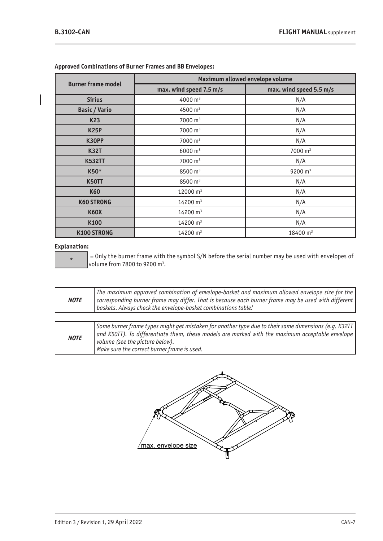|                           | Maximum allowed envelope volume |                         |  |  |  |  |  |  |  |
|---------------------------|---------------------------------|-------------------------|--|--|--|--|--|--|--|
| <b>Burner frame model</b> | max. wind speed 7.5 m/s         | max. wind speed 5.5 m/s |  |  |  |  |  |  |  |
| <b>Sirius</b>             | 4000 $m3$                       | N/A                     |  |  |  |  |  |  |  |
| <b>Basic / Vario</b>      | 4500 $m3$                       | N/A                     |  |  |  |  |  |  |  |
| K23                       | 7000 $ m3$                      | N/A                     |  |  |  |  |  |  |  |
| <b>K25P</b>               | 7000 m <sup>3</sup>             | N/A                     |  |  |  |  |  |  |  |
| K30PP                     | 7000 $ m3$                      | N/A                     |  |  |  |  |  |  |  |
| <b>K32T</b>               | $6000 \text{ m}^3$              | 7000 m <sup>3</sup>     |  |  |  |  |  |  |  |
| <b>K532TT</b>             | $7000 \text{ m}^3$              | N/A                     |  |  |  |  |  |  |  |
| K50*                      | 8500 $m3$                       | 9200 $m3$               |  |  |  |  |  |  |  |
| <b>K50TT</b>              | 8500 m <sup>3</sup>             | N/A                     |  |  |  |  |  |  |  |
| <b>K60</b>                | 12000 $m3$                      | N/A                     |  |  |  |  |  |  |  |
| <b>K60 STRONG</b>         | 14200 $m3$                      | N/A                     |  |  |  |  |  |  |  |
| <b>K60X</b>               | 14200 $m3$                      | N/A                     |  |  |  |  |  |  |  |
| K100                      | 14200 $m3$                      | N/A                     |  |  |  |  |  |  |  |
| K100 STRONG               | 14200 $m3$                      | $18400 \text{ m}^3$     |  |  |  |  |  |  |  |

### **Approved Combinations of Burner Frames and BB Envelopes:**

### **Explanation:**

**\***  $\blacksquare$  = Only the burner frame with the symbol S/N before the serial number may be used with envelopes of volume from 7800 to 9200 m<sup>3</sup>.

| The maximum approved combination of envelope-basket and maximum allowed envelope size for the<br>corresponding burner frame may differ. That is because each burner frame may be used with different<br><b>NOTE</b><br>baskets. Always check the envelope-basket combinations table! |
|--------------------------------------------------------------------------------------------------------------------------------------------------------------------------------------------------------------------------------------------------------------------------------------|
|--------------------------------------------------------------------------------------------------------------------------------------------------------------------------------------------------------------------------------------------------------------------------------------|

| Some burner frame types might get mistaken for another type due to their same dimensions (e.g. K32TT)<br>$\mid$ and K50TT). To differentiate them, these models are marked with the maximum acceptable envelope $\mid$<br>volume (see the picture below).<br>$\vert$ Make sure the correct burner frame is used. |
|------------------------------------------------------------------------------------------------------------------------------------------------------------------------------------------------------------------------------------------------------------------------------------------------------------------|
|                                                                                                                                                                                                                                                                                                                  |

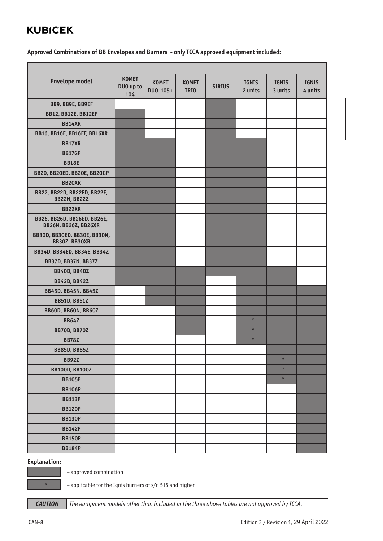# **KUBICEK**

**Approved Combinations of BB Envelopes and Burners - only TCCA approved equipment included:**

| <b>Envelope model</b>                                      | <b>KOMET</b><br>DUO up to<br>104 | <b>KOMET</b><br>DU0 105+ | <b>KOMET</b><br><b>TRIO</b> | <b>SIRIUS</b> | <b>IGNIS</b><br>2 units | <b>IGNIS</b><br>3 units | <b>IGNIS</b><br>4 units |  |  |  |  |
|------------------------------------------------------------|----------------------------------|--------------------------|-----------------------------|---------------|-------------------------|-------------------------|-------------------------|--|--|--|--|
| BB9, BB9E, BB9EF                                           |                                  |                          |                             |               |                         |                         |                         |  |  |  |  |
| <b>BB12, BB12E, BB12EF</b>                                 |                                  |                          |                             |               |                         |                         |                         |  |  |  |  |
| <b>BB14XR</b>                                              |                                  |                          |                             |               |                         |                         |                         |  |  |  |  |
| <b>BB16, BB16E, BB16EF, BB16XR</b>                         |                                  |                          |                             |               |                         |                         |                         |  |  |  |  |
| <b>BB17XR</b>                                              |                                  |                          |                             |               |                         |                         |                         |  |  |  |  |
| <b>BB17GP</b>                                              |                                  |                          |                             |               |                         |                         |                         |  |  |  |  |
| <b>BB18E</b>                                               |                                  |                          |                             |               |                         |                         |                         |  |  |  |  |
| BB20, BB20ED, BB20E, BB20GP                                |                                  |                          |                             |               |                         |                         |                         |  |  |  |  |
| <b>BB20XR</b>                                              |                                  |                          |                             |               |                         |                         |                         |  |  |  |  |
| BB22, BB22D, BB22ED, BB22E,<br><b>BB22N, BB22Z</b>         |                                  |                          |                             |               |                         |                         |                         |  |  |  |  |
| <b>BB22XR</b>                                              |                                  |                          |                             |               |                         |                         |                         |  |  |  |  |
| BB26, BB26D, BB26ED, BB26E,<br><b>BB26N, BB26Z, BB26XR</b> |                                  |                          |                             |               |                         |                         |                         |  |  |  |  |
| BB30D, BB30ED, BB30E, BB30N,<br>BB30Z, BB30XR              |                                  |                          |                             |               |                         |                         |                         |  |  |  |  |
| BB34D, BB34ED, BB34E, BB34Z                                |                                  |                          |                             |               |                         |                         |                         |  |  |  |  |
| <b>BB37D, BB37N, BB37Z</b>                                 |                                  |                          |                             |               |                         |                         |                         |  |  |  |  |
| <b>BB40D, BB40Z</b>                                        |                                  |                          |                             |               |                         |                         |                         |  |  |  |  |
| <b>BB42D, BB42Z</b>                                        |                                  |                          |                             |               |                         |                         |                         |  |  |  |  |
| <b>BB45D, BB45N, BB45Z</b>                                 |                                  |                          |                             |               |                         |                         |                         |  |  |  |  |
| <b>BB51D, BB51Z</b>                                        |                                  |                          |                             |               |                         |                         |                         |  |  |  |  |
| BB60D, BB60N, BB60Z                                        |                                  |                          |                             |               |                         |                         |                         |  |  |  |  |
| <b>BB64Z</b>                                               |                                  |                          |                             |               | $\star$                 |                         |                         |  |  |  |  |
| <b>BB70D, BB70Z</b>                                        |                                  |                          |                             |               | $\star$                 |                         |                         |  |  |  |  |
| <b>BB78Z</b>                                               |                                  |                          |                             |               | $\star$                 |                         |                         |  |  |  |  |
| <b>BB85D, BB85Z</b>                                        |                                  |                          |                             |               |                         |                         |                         |  |  |  |  |
| <b>BB92Z</b>                                               |                                  |                          |                             |               |                         | $\star$                 |                         |  |  |  |  |
| <b>BB100D, BB100Z</b>                                      |                                  |                          |                             |               |                         | $\star$                 |                         |  |  |  |  |
| <b>BB105P</b>                                              |                                  |                          |                             |               |                         | $\star$                 |                         |  |  |  |  |
| <b>BB106P</b>                                              |                                  |                          |                             |               |                         |                         |                         |  |  |  |  |
| <b>BB113P</b>                                              |                                  |                          |                             |               |                         |                         |                         |  |  |  |  |
| <b>BB120P</b>                                              |                                  |                          |                             |               |                         |                         |                         |  |  |  |  |
| <b>BB130P</b>                                              |                                  |                          |                             |               |                         |                         |                         |  |  |  |  |
| <b>BB142P</b>                                              |                                  |                          |                             |               |                         |                         |                         |  |  |  |  |
| <b>BB150P</b>                                              |                                  |                          |                             |               |                         |                         |                         |  |  |  |  |
| <b>BB184P</b>                                              |                                  |                          |                             |               |                         |                         |                         |  |  |  |  |

### **Explanation:**



= approved combination

\*  $\parallel$  = applicable for the Ignis burners of s/n 516 and higher

*CAUTION The equipment models other than included in the three above tables are not approved by TCCA.*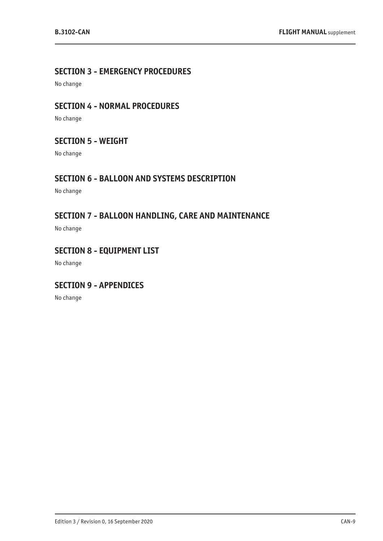# <span id="page-8-0"></span>**SECTION 3 - EMERGENCY PROCEDURES**

No change

## **SECTION 4 - NORMAL PROCEDURES**

No change

# **SECTION 5 - WEIGHT**

No change

### **SECTION 6 - BALLOON AND SYSTEMS DESCRIPTION**

No change

# **SECTION 7 - BALLOON HANDLING, CARE AND MAINTENANCE**

No change

# **SECTION 8 - EQUIPMENT LIST**

No change

### **SECTION 9 - APPENDICES**

No change